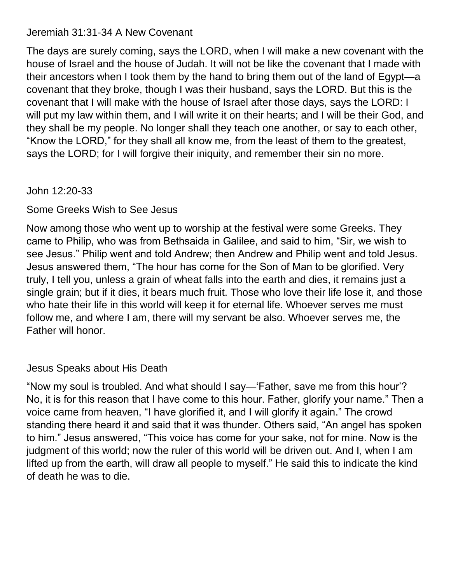## Jeremiah 31:31-34 A New Covenant

The days are surely coming, says the LORD, when I will make a new covenant with the house of Israel and the house of Judah. It will not be like the covenant that I made with their ancestors when I took them by the hand to bring them out of the land of Egypt—a covenant that they broke, though I was their husband, says the LORD. But this is the covenant that I will make with the house of Israel after those days, says the LORD: I will put my law within them, and I will write it on their hearts; and I will be their God, and they shall be my people. No longer shall they teach one another, or say to each other, "Know the LORD," for they shall all know me, from the least of them to the greatest, says the LORD; for I will forgive their iniquity, and remember their sin no more.

John 12:20-33

Some Greeks Wish to See Jesus

Now among those who went up to worship at the festival were some Greeks. They came to Philip, who was from Bethsaida in Galilee, and said to him, "Sir, we wish to see Jesus." Philip went and told Andrew; then Andrew and Philip went and told Jesus. Jesus answered them, "The hour has come for the Son of Man to be glorified. Very truly, I tell you, unless a grain of wheat falls into the earth and dies, it remains just a single grain; but if it dies, it bears much fruit. Those who love their life lose it, and those who hate their life in this world will keep it for eternal life. Whoever serves me must follow me, and where I am, there will my servant be also. Whoever serves me, the Father will honor.

## Jesus Speaks about His Death

"Now my soul is troubled. And what should I say—'Father, save me from this hour'? No, it is for this reason that I have come to this hour. Father, glorify your name." Then a voice came from heaven, "I have glorified it, and I will glorify it again." The crowd standing there heard it and said that it was thunder. Others said, "An angel has spoken to him." Jesus answered, "This voice has come for your sake, not for mine. Now is the judgment of this world; now the ruler of this world will be driven out. And I, when I am lifted up from the earth, will draw all people to myself." He said this to indicate the kind of death he was to die.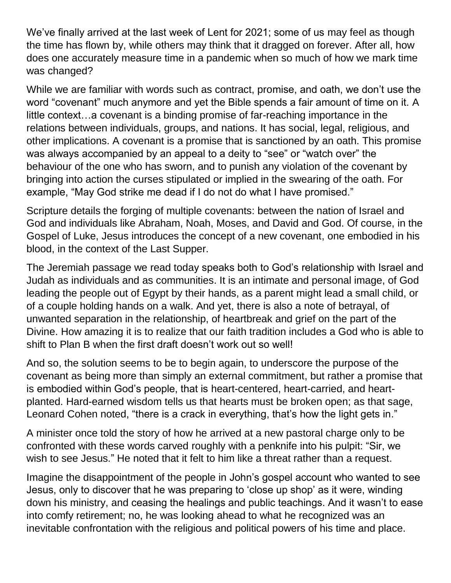We've finally arrived at the last week of Lent for 2021; some of us may feel as though the time has flown by, while others may think that it dragged on forever. After all, how does one accurately measure time in a pandemic when so much of how we mark time was changed?

While we are familiar with words such as contract, promise, and oath, we don't use the word "covenant" much anymore and yet the Bible spends a fair amount of time on it. A little context…a covenant is a binding promise of far-reaching importance in the relations between individuals, groups, and nations. It has social, legal, religious, and other implications. A covenant is a promise that is sanctioned by an oath. This promise was always accompanied by an appeal to a deity to "see" or "watch over" the behaviour of the one who has sworn, and to punish any violation of the covenant by bringing into action the curses stipulated or implied in the swearing of the oath. For example, "May God strike me dead if I do not do what I have promised."

Scripture details the forging of multiple covenants: between the nation of Israel and God and individuals like Abraham, Noah, Moses, and David and God. Of course, in the Gospel of Luke, Jesus introduces the concept of a new covenant, one embodied in his blood, in the context of the Last Supper.

The Jeremiah passage we read today speaks both to God's relationship with Israel and Judah as individuals and as communities. It is an intimate and personal image, of God leading the people out of Egypt by their hands, as a parent might lead a small child, or of a couple holding hands on a walk. And yet, there is also a note of betrayal, of unwanted separation in the relationship, of heartbreak and grief on the part of the Divine. How amazing it is to realize that our faith tradition includes a God who is able to shift to Plan B when the first draft doesn't work out so well!

And so, the solution seems to be to begin again, to underscore the purpose of the covenant as being more than simply an external commitment, but rather a promise that is embodied within God's people, that is heart-centered, heart-carried, and heartplanted. Hard-earned wisdom tells us that hearts must be broken open; as that sage, Leonard Cohen noted, "there is a crack in everything, that's how the light gets in."

A minister once told the story of how he arrived at a new pastoral charge only to be confronted with these words carved roughly with a penknife into his pulpit: "Sir, we wish to see Jesus." He noted that it felt to him like a threat rather than a request.

Imagine the disappointment of the people in John's gospel account who wanted to see Jesus, only to discover that he was preparing to 'close up shop' as it were, winding down his ministry, and ceasing the healings and public teachings. And it wasn't to ease into comfy retirement; no, he was looking ahead to what he recognized was an inevitable confrontation with the religious and political powers of his time and place.